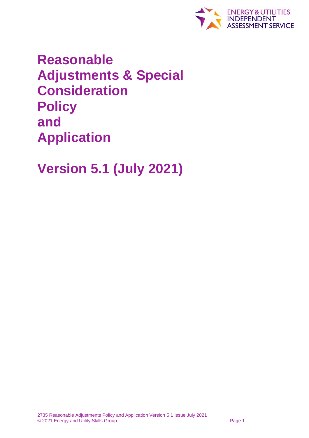

**Reasonable Adjustments & Special Consideration Policy and Application**

**Version 5.1 (July 2021)**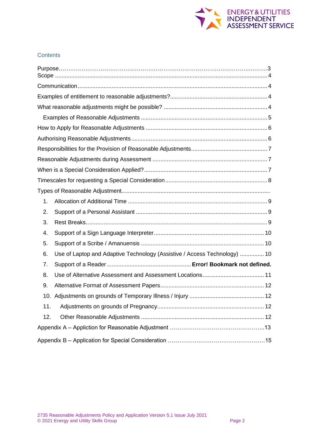

## **Contents**

| 1.  |                                                                           |  |
|-----|---------------------------------------------------------------------------|--|
| 2.  |                                                                           |  |
| 3.  |                                                                           |  |
| 4.  |                                                                           |  |
| 5.  |                                                                           |  |
| 6.  | Use of Laptop and Adaptive Technology (Assistive / Access Technology)  10 |  |
| 7.  |                                                                           |  |
| 8.  |                                                                           |  |
| 9.  |                                                                           |  |
|     |                                                                           |  |
| 11. |                                                                           |  |
| 12. |                                                                           |  |
|     |                                                                           |  |
|     |                                                                           |  |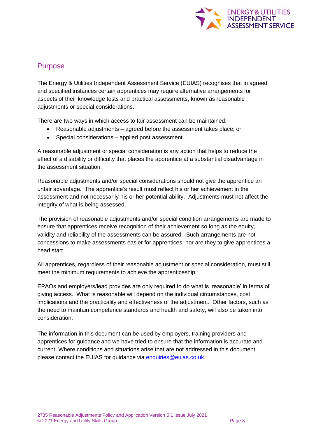

## Purpose

The Energy & Utilities Independent Assessment Service (EUIAS) recognises that in agreed and specified instances certain apprentices may require alternative arrangements for aspects of their knowledge tests and practical assessments, known as reasonable adjustments or special considerations.

There are two ways in which access to fair assessment can be maintained:

- Reasonable adjustments agreed before the assessment takes place; or
- Special considerations applied post assessment

A reasonable adjustment or special consideration is any action that helps to reduce the effect of a disability or difficulty that places the apprentice at a substantial disadvantage in the assessment situation.

Reasonable adjustments and/or special considerations should not give the apprentice an unfair advantage. The apprentice's result must reflect his or her achievement in the assessment and not necessarily his or her potential ability. Adjustments must not affect the integrity of what is being assessed.

The provision of reasonable adjustments and/or special condition arrangements are made to ensure that apprentices receive recognition of their achievement so long as the equity, validity and reliability of the assessments can be assured. Such arrangements are not concessions to make assessments easier for apprentices, nor are they to give apprentices a head start.

All apprentices, regardless of their reasonable adjustment or special consideration, must still meet the minimum requirements to achieve the apprenticeship.

EPAOs and employers/lead provides are only required to do what is 'reasonable' in terms of giving access. What is reasonable will depend on the individual circumstances, cost implications and the practicality and effectiveness of the adjustment. Other factors, such as the need to maintain competence standards and health and safety, will also be taken into consideration.

The information in this document can be used by employers, training providers and apprentices for guidance and we have tried to ensure that the information is accurate and current. Where conditions and situations arise that are not addressed in this document please contact the EUIAS for guidance via [enquiries@euias.co.uk](mailto:enquiries@euias.co.uk)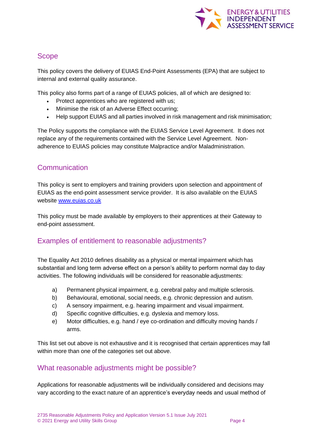

# <span id="page-3-0"></span>Scope

This policy covers the delivery of EUIAS End-Point Assessments (EPA) that are subject to internal and external quality assurance.

This policy also forms part of a range of EUIAS policies, all of which are designed to:

- Protect apprentices who are registered with us;
- Minimise the risk of an Adverse Effect occurring;
- Help support EUIAS and all parties involved in risk management and risk minimisation;

The Policy supports the compliance with the EUIAS Service Level Agreement. It does not replace any of the requirements contained with the Service Level Agreement. Nonadherence to EUIAS policies may constitute Malpractice and/or Maladministration.

# <span id="page-3-1"></span>**Communication**

This policy is sent to employers and training providers upon selection and appointment of EUIAS as the end-point assessment service provider. It is also available on the EUIAS website [www.euias.co.uk](http://www.euias.co.uk/)

This policy must be made available by employers to their apprentices at their Gateway to end-point assessment.

# <span id="page-3-2"></span>Examples of entitlement to reasonable adjustments?

The Equality Act 2010 defines disability as a physical or mental impairment which has substantial and long term adverse effect on a person's ability to perform normal day to day activities. The following individuals will be considered for reasonable adjustments:

- a) Permanent physical impairment, e.g. cerebral palsy and multiple sclerosis.
- b) Behavioural, emotional, social needs, e.g. chronic depression and autism.
- c) A sensory impairment, e.g. hearing impairment and visual impairment.
- d) Specific cognitive difficulties, e.g. dyslexia and memory loss.
- e) Motor difficulties, e.g. hand / eye co-ordination and difficulty moving hands / arms.

This list set out above is not exhaustive and it is recognised that certain apprentices may fall within more than one of the categories set out above.

# <span id="page-3-3"></span>What reasonable adjustments might be possible?

Applications for reasonable adjustments will be individually considered and decisions may vary according to the exact nature of an apprentice's everyday needs and usual method of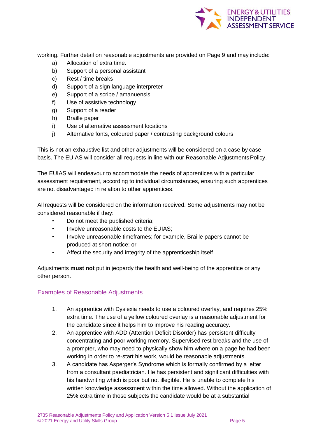

working. Further detail on reasonable adjustments are provided on Page 9 and may include:

- a) Allocation of extra time.
- b) Support of a personal assistant
- c) Rest / time breaks
- d) Support of a sign language interpreter
- e) Support of a scribe / amanuensis
- f) Use of assistive technology
- g) Support of a reader
- h) Braille paper
- i) Use of alternative assessment locations
- j) Alternative fonts, coloured paper / contrasting background colours

This is not an exhaustive list and other adjustments will be considered on a case by case basis. The EUIAS will consider all requests in line with our Reasonable AdjustmentsPolicy.

The EUIAS will endeavour to accommodate the needs of apprentices with a particular assessment requirement, according to individual circumstances, ensuring such apprentices are not disadvantaged in relation to other apprentices.

All requests will be considered on the information received. Some adjustments may not be considered reasonable if they:

- Do not meet the published criteria;
- Involve unreasonable costs to the EUIAS;
- Involve unreasonable timeframes; for example, Braille papers cannot be produced at short notice; or
- Affect the security and integrity of the apprenticeship itself

Adjustments **must not** put in jeopardy the health and well-being of the apprentice or any other person.

### <span id="page-4-0"></span>Examples of Reasonable Adjustments

- 1. An apprentice with Dyslexia needs to use a coloured overlay, and requires 25% extra time. The use of a yellow coloured overlay is a reasonable adjustment for the candidate since it helps him to improve his reading accuracy.
- 2. An apprentice with ADD (Attention Deficit Disorder) has persistent difficulty concentrating and poor working memory. Supervised rest breaks and the use of a prompter, who may need to physically show him where on a page he had been working in order to re-start his work, would be reasonable adjustments.
- 3. A candidate has Asperger's Syndrome which is formally confirmed by a letter from a consultant paediatrician. He has persistent and significant difficulties with his handwriting which is poor but not illegible. He is unable to complete his written knowledge assessment within the time allowed. Without the application of 25% extra time in those subjects the candidate would be at a substantial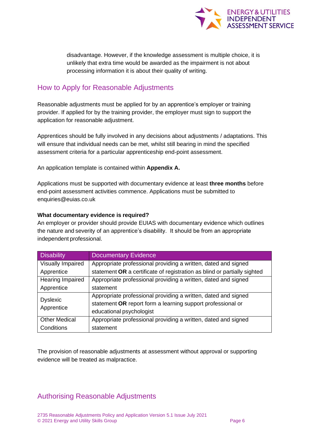

disadvantage. However, if the knowledge assessment is multiple choice, it is unlikely that extra time would be awarded as the impairment is not about processing information it is about their quality of writing.

# <span id="page-5-0"></span>How to Apply for Reasonable Adjustments

Reasonable adjustments must be applied for by an apprentice's employer or training provider. If applied for by the training provider, the employer must sign to support the application for reasonable adjustment.

Apprentices should be fully involved in any decisions about adjustments / adaptations. This will ensure that individual needs can be met, whilst still bearing in mind the specified assessment criteria for a particular apprenticeship end-point assessment.

An application template is contained within **Appendix A.**

Applications must be supported with documentary evidence at least **three months** before end-point assessment activities commence. Applications must be submitted to enquiries@euias.co.uk

### **What documentary evidence is required?**

An employer or provider should provide EUIAS with documentary evidence which outlines the nature and severity of an apprentice's disability. It should be from an appropriate independent professional.

| <b>Disability</b>       | <b>Documentary Evidence</b>                                              |
|-------------------------|--------------------------------------------------------------------------|
| Visually Impaired       | Appropriate professional providing a written, dated and signed           |
| Apprentice              | statement OR a certificate of registration as blind or partially sighted |
| <b>Hearing Impaired</b> | Appropriate professional providing a written, dated and signed           |
| Apprentice              | statement                                                                |
| <b>Dyslexic</b>         | Appropriate professional providing a written, dated and signed           |
| Apprentice              | statement OR report form a learning support professional or              |
|                         | educational psychologist                                                 |
| <b>Other Medical</b>    | Appropriate professional providing a written, dated and signed           |
| Conditions              | statement                                                                |

The provision of reasonable adjustments at assessment without approval or supporting evidence will be treated as malpractice.

# <span id="page-5-1"></span>Authorising Reasonable Adjustments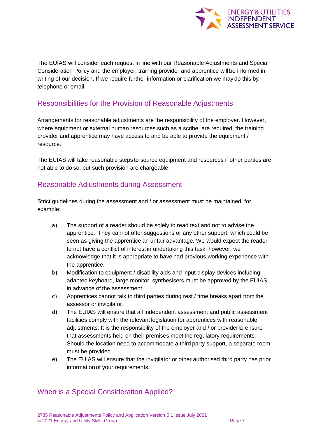

The EUIAS will consider each request in line with our Reasonable Adjustments and Special Consideration Policy and the employer, training provider and apprentice will be informed in writing of our decision. If we require further information or clarification we may do this by telephone or email.

# <span id="page-6-0"></span>Responsibilities for the Provision of Reasonable Adjustments

Arrangements for reasonable adjustments are the responsibility of the employer. However, where equipment or external human resources such as a scribe, are required, the training provider and apprentice may have access to and be able to provide the equipment / resource.

The EUIAS will take reasonable steps to source equipment and resources if other parties are not able to do so, but such provision are chargeable.

## <span id="page-6-1"></span>Reasonable Adjustments during Assessment

Strict guidelines during the assessment and / or assessment must be maintained, for example:

- a) The support of a reader should be solely to read text and not to advise the apprentice. They cannot offer suggestions or any other support, which could be seen as giving the apprentice an unfair advantage. We would expect the reader to not have a conflict of interest in undertaking this task, however, we acknowledge that it is appropriate to have had previous working experience with the apprentice.
- b) Modification to equipment / disability aids and input display devices including adapted keyboard, large monitor, synthesisers must be approved by the EUIAS in advance of the assessment.
- c) Apprentices cannot talk to third parties during rest / time breaks apart from the assessor or invigilator.
- d) The EUIAS will ensure that all independent assessment and public assessment facilities comply with the relevant legislation for apprentices with reasonable adjustments. It is the responsibility of the employer and / or provider to ensure that assessments held on their premises meet the regulatory requirements. Should the location need to accommodate a third party support, a separate room must be provided.
- e) The EUIAS will ensure that the invigilator or other authorised third party has prior informationof your requirements.

# <span id="page-6-2"></span>When is a Special Consideration Applied?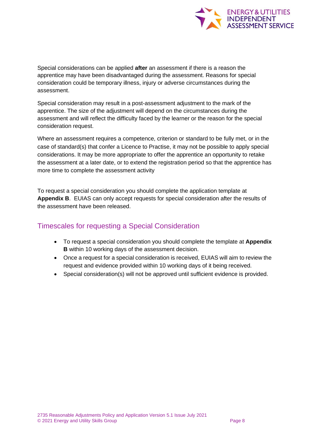

Special considerations can be applied **after** an assessment if there is a reason the apprentice may have been disadvantaged during the assessment. Reasons for special consideration could be temporary illness, injury or adverse circumstances during the assessment.

Special consideration may result in a post-assessment adjustment to the mark of the apprentice. The size of the adjustment will depend on the circumstances during the assessment and will reflect the difficulty faced by the learner or the reason for the special consideration request.

Where an assessment requires a competence, criterion or standard to be fully met, or in the case of standard(s) that confer a Licence to Practise, it may not be possible to apply special considerations. It may be more appropriate to offer the apprentice an opportunity to retake the assessment at a later date, or to extend the registration period so that the apprentice has more time to complete the assessment activity

To request a special consideration you should complete the application template at **Appendix B**. EUIAS can only accept requests for special consideration after the results of the assessment have been released.

# <span id="page-7-0"></span>Timescales for requesting a Special Consideration

- To request a special consideration you should complete the template at **Appendix B** within 10 working days of the assessment decision.
- Once a request for a special consideration is received, EUIAS will aim to review the request and evidence provided within 10 working days of it being received.
- Special consideration(s) will not be approved until sufficient evidence is provided.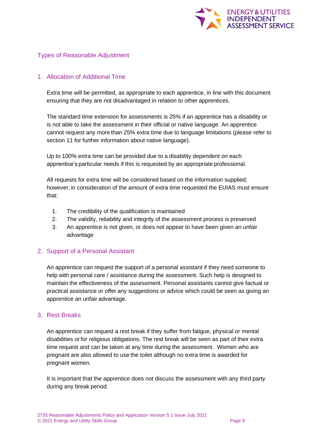

## Types of Reasonable Adjustment

### <span id="page-8-0"></span>1. Allocation of Additional Time

Extra time will be permitted, as appropriate to each apprentice, in line with this document ensuring that they are not disadvantaged in relation to other apprentices.

The standard time extension for assessments is 25% if an apprentice has a disability or is not able to take the assessment in their official or native language. An apprentice cannot request any more than 25% extra time due to language limitations (please refer to section 11 for further information about native language).

Up to 100% extra time can be provided due to a disability dependent on each apprentice's particular needs if this is requested by an appropriate professional.

All requests for extra time will be considered based on the information supplied; however; in consideration of the amount of extra time requested the EUIAS must ensure that:

- 1. The credibility of the qualification is maintained
- 2. The validity, reliability and integrity of the assessment process is preserved
- 3. An apprentice is not given, or does not appear to have been given an unfair advantage

### <span id="page-8-1"></span>2. Support of a Personal Assistant

An apprentice can request the support of a personal assistant if they need someone to help with personal care / assistance during the assessment. Such help is designed to maintain the effectiveness of the assessment. Personal assistants cannot give factual or practical assistance or offer any suggestions or advice which could be seen as giving an apprentice an unfair advantage.

#### <span id="page-8-2"></span>3. Rest Breaks

An apprentice can request a rest break if they suffer from fatigue, physical or mental disabilities or for religious obligations. The rest break will be seen as part of their extra time request and can be taken at any time during the assessment. Women who are pregnant are also allowed to use the toilet although no extra time is awarded for pregnant women.

It is important that the apprentice does not discuss the assessment with any third party during any break period.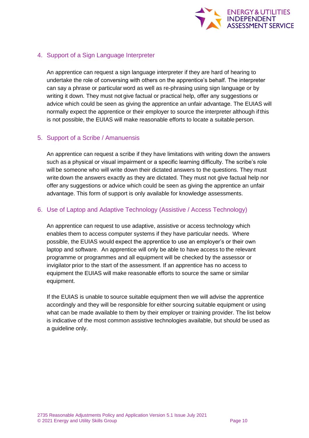

## <span id="page-9-0"></span>4. Support of a Sign Language Interpreter

An apprentice can request a sign language interpreter if they are hard of hearing to undertake the role of conversing with others on the apprentice's behalf. The interpreter can say a phrase or particular word as well as re-phrasing using sign language or by writing it down. They must not give factual or practical help, offer any suggestions or advice which could be seen as giving the apprentice an unfair advantage. The EUIAS will normally expect the apprentice or their employer to source the interpreter although if this is not possible, the EUIAS will make reasonable efforts to locate a suitable person.

### <span id="page-9-1"></span>5. Support of a Scribe / Amanuensis

An apprentice can request a scribe if they have limitations with writing down the answers such as a physical or visual impairment or a specific learning difficulty. The scribe's role will be someone who will write down their dictated answers to the questions. They must write down the answers exactly as they are dictated. They must not give factual help nor offer any suggestions or advice which could be seen as giving the apprentice an unfair advantage. This form of support is only available for knowledge assessments.

### <span id="page-9-2"></span>6. Use of Laptop and Adaptive Technology (Assistive / Access Technology)

An apprentice can request to use adaptive, assistive or access technology which enables them to access computer systems if they have particular needs. Where possible, the EUIAS would expect the apprentice to use an employer's or their own laptop and software. An apprentice will only be able to have access to the relevant programme or programmes and all equipment will be checked by the assessor or invigilator prior to the start of the assessment. If an apprentice has no access to equipment the EUIAS will make reasonable efforts to source the same or similar equipment.

If the EUIAS is unable to source suitable equipment then we will advise the apprentice accordingly and they will be responsible for either sourcing suitable equipment or using what can be made available to them by their employer or training provider. The list below is indicative of the most common assistive technologies available, but should be used as a quideline only.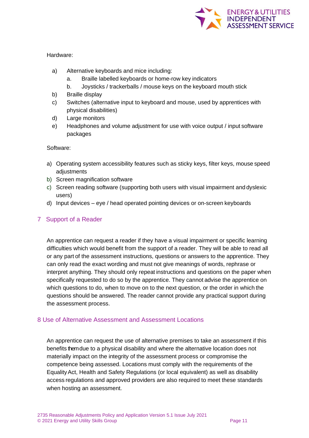

#### Hardware:

- a) Alternative keyboards and mice including:
	- a. Braille labelled keyboards or home-row key indicators
	- b. Joysticks / trackerballs / mouse keys on the keyboard mouth stick
- b) Braille display
- c) Switches (alternative input to keyboard and mouse, used by apprentices with physical disabilities)
- d) Large monitors
- e) Headphones and volume adjustment for use with voice output / input software packages

Software:

- a) Operating system accessibility features such as sticky keys, filter keys, mouse speed adjustments
- b) Screen magnification software
- c) Screen reading software (supporting both users with visual impairment and dyslexic users)
- d) Input devices eye / head operated pointing devices or on-screen keyboards

## 7 Support of a Reader

An apprentice can request a reader if they have a visual impairment or specific learning difficulties which would benefit from the support of a reader. They will be able to read all or any part of the assessment instructions, questions or answers to the apprentice. They can only read the exact wording and must not give meanings of words, rephrase or interpret anything. They should only repeat instructions and questions on the paper when specifically requested to do so by the apprentice. They cannot advise the apprentice on which questions to do, when to move on to the next question, or the order in which the questions should be answered. The reader cannot provide any practical support during the assessment process.

### <span id="page-10-0"></span>8 Use of Alternative Assessment and Assessment Locations

An apprentice can request the use of alternative premises to take an assessment if this benefits them due to a physical disability and where the alternative location does not materially impact on the integrity of the assessment process or compromise the competence being assessed. Locations must comply with the requirements of the EqualityAct, Health and Safety Regulations (or local equivalent) as well as disability access regulations and approved providers are also required to meet these standards when hosting an assessment.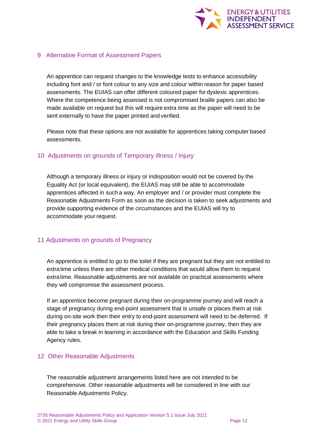

#### <span id="page-11-0"></span>9 Alternative Format of Assessment Papers

An apprentice can request changes to the knowledge tests to enhance accessibility including font and / or font colour to any size and colour within reason for paper based assessments. The EUIAS can offer different coloured paper for dyslexic apprentices. Where the competence being assessed is not compromised braille papers can also be made available on request but this will require extra time as the paper will need to be sent externally to have the paper printed and verified.

Please note that these options are not available for apprentices taking computer based assessments.

#### <span id="page-11-1"></span>10 Adjustments on grounds of Temporary Illness / Injury

Although a temporary illness or injury or indisposition would not be covered by the Equality Act (or local equivalent), the EUIAS may still be able to accommodate apprentices affected in such a way. An employer and / or provider must complete the Reasonable Adjustments Form as soon as the decision is taken to seek adjustments and provide supporting evidence of the circumstances and the EUIAS will try to accommodate your request.

#### <span id="page-11-2"></span>11 Adjustments on grounds of Pregnancy

An apprentice is entitled to go to the toilet if they are pregnant but they are not entitled to extra time unless there are other medical conditions that would allow them to request extratime. Reasonable adjustments are not available on practical assessments where they will compromise the assessment process.

If an apprentice become pregnant during their on-programme journey and will reach a stage of pregnancy during end-point assessment that is unsafe or places them at risk during on-site work then their entry to end-point assessment will need to be deferred. If their pregnancy places them at risk during their on-programme journey, then they are able to take a break in learning in accordance with the Education and Skills Funding Agency rules.

#### <span id="page-11-3"></span>12 Other Reasonable Adjustments

The reasonable adjustment arrangements listed here are not intended to be comprehensive. Other reasonable adjustments will be considered in line with our Reasonable Adjustments Policy.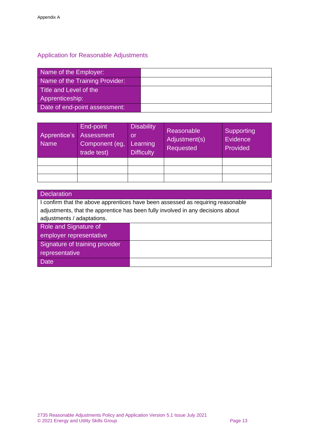# Application for Reasonable Adjustments

| Name of the Employer:          |  |
|--------------------------------|--|
| Name of the Training Provider: |  |
| Title and Level of the         |  |
| Apprenticeship:                |  |
| Date of end-point assessment:  |  |

| Apprentice's<br><b>Name</b> | End-point<br>Assessment<br>Component (eg,<br>trade test) | <b>Disability</b><br>or<br>Learning<br><b>Difficulty</b> | Reasonable<br>Adjustment(s)<br>Requested | Supporting<br><b>Evidence</b><br>Provided |
|-----------------------------|----------------------------------------------------------|----------------------------------------------------------|------------------------------------------|-------------------------------------------|
|                             |                                                          |                                                          |                                          |                                           |
|                             |                                                          |                                                          |                                          |                                           |
|                             |                                                          |                                                          |                                          |                                           |

| <b>Declaration</b>                                                              |  |  |  |  |
|---------------------------------------------------------------------------------|--|--|--|--|
| I confirm that the above apprentices have been assessed as requiring reasonable |  |  |  |  |
| adjustments, that the apprentice has been fully involved in any decisions about |  |  |  |  |
| adjustments / adaptations.                                                      |  |  |  |  |
| Role and Signature of                                                           |  |  |  |  |
| employer representative                                                         |  |  |  |  |
| Signature of training provider                                                  |  |  |  |  |
| representative                                                                  |  |  |  |  |
| <b>Date</b>                                                                     |  |  |  |  |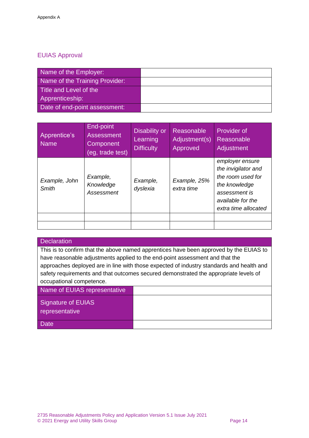## EUIAS Approval

| Name of the Employer:          |  |
|--------------------------------|--|
| Name of the Training Provider: |  |
| Title and Level of the         |  |
| Apprenticeship:                |  |
| Date of end-point assessment:  |  |

| Apprentice's<br><b>Name</b> | End-point<br><b>Assessment</b><br>Component<br>(eg, trade test) | Disability or<br>Learning<br><b>Difficulty</b> | Reasonable<br>Adjustment(s)<br>Approved | Provider of<br>Reasonable<br><b>Adjustment</b>                                                                                             |
|-----------------------------|-----------------------------------------------------------------|------------------------------------------------|-----------------------------------------|--------------------------------------------------------------------------------------------------------------------------------------------|
| Example, John<br>Smith      | Example,<br>Knowledge<br>Assessment                             | Example,<br>dyslexia                           | Example, 25%<br>extra time              | employer ensure<br>the invigilator and<br>the room used for<br>the knowledge<br>assessment is<br>available for the<br>extra time allocated |
|                             |                                                                 |                                                |                                         |                                                                                                                                            |
|                             |                                                                 |                                                |                                         |                                                                                                                                            |

### **Declaration**

This is to confirm that the above named apprentices have been approved by the EUIAS to have reasonable adjustments applied to the end-point assessment and that the approaches deployed are in line with those expected of industry standards and health and safety requirements and that outcomes secured demonstrated the appropriate levels of occupational competence.

Name of EUIAS representative

Signature of EUIAS

representative

**Date**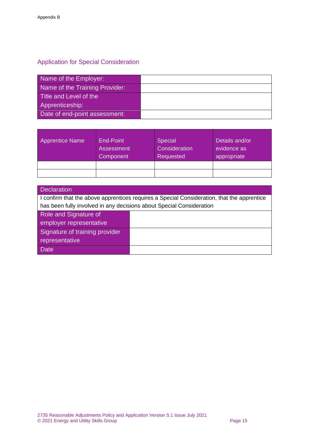# Application for Special Consideration

| Name of the Employer:          |  |
|--------------------------------|--|
| Name of the Training Provider: |  |
| Title and Level of the         |  |
| Apprenticeship:                |  |
| Date of end-point assessment:  |  |

| <b>Apprentice Name</b> | End-Point<br><b>Assessment</b><br>Component <sup>1</sup> | <b>Special</b><br>Consideration<br>Requested | Details and/or<br>evidence as<br>appropriate |
|------------------------|----------------------------------------------------------|----------------------------------------------|----------------------------------------------|
|                        |                                                          |                                              |                                              |
|                        |                                                          |                                              |                                              |

| <b>Declaration</b>                                                   |                                                                                            |  |
|----------------------------------------------------------------------|--------------------------------------------------------------------------------------------|--|
|                                                                      | I confirm that the above apprentices requires a Special Consideration, that the apprentice |  |
| has been fully involved in any decisions about Special Consideration |                                                                                            |  |
| Role and Signature of                                                |                                                                                            |  |
| employer representative                                              |                                                                                            |  |
| Signature of training provider                                       |                                                                                            |  |
| representative                                                       |                                                                                            |  |
| <b>Date</b>                                                          |                                                                                            |  |